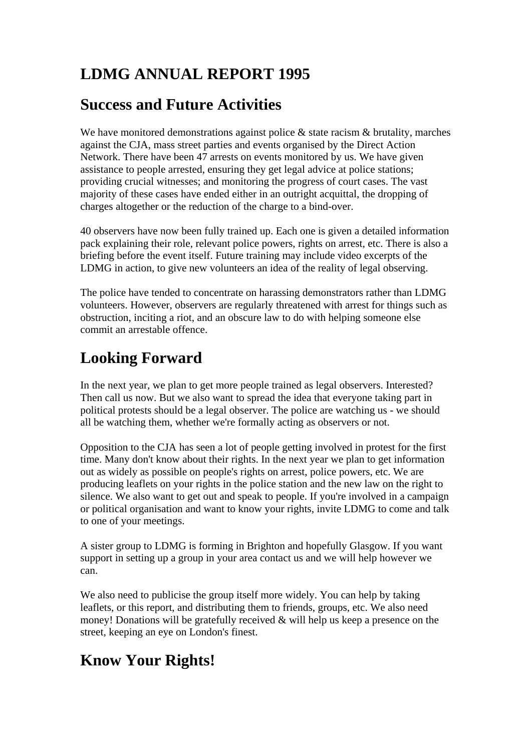# **LDMG ANNUAL REPORT 1995**

#### **Success and Future Activities**

We have monitored demonstrations against police  $\&$  state racism  $\&$  brutality, marches against the CJA, mass street parties and events organised by the Direct Action Network. There have been 47 arrests on events monitored by us. We have given assistance to people arrested, ensuring they get legal advice at police stations; providing crucial witnesses; and monitoring the progress of court cases. The vast majority of these cases have ended either in an outright acquittal, the dropping of charges altogether or the reduction of the charge to a bind-over.

40 observers have now been fully trained up. Each one is given a detailed information pack explaining their role, relevant police powers, rights on arrest, etc. There is also a briefing before the event itself. Future training may include video excerpts of the LDMG in action, to give new volunteers an idea of the reality of legal observing.

The police have tended to concentrate on harassing demonstrators rather than LDMG volunteers. However, observers are regularly threatened with arrest for things such as obstruction, inciting a riot, and an obscure law to do with helping someone else commit an arrestable offence.

## **Looking Forward**

In the next year, we plan to get more people trained as legal observers. Interested? Then call us now. But we also want to spread the idea that everyone taking part in political protests should be a legal observer. The police are watching us - we should all be watching them, whether we're formally acting as observers or not.

Opposition to the CJA has seen a lot of people getting involved in protest for the first time. Many don't know about their rights. In the next year we plan to get information out as widely as possible on people's rights on arrest, police powers, etc. We are producing leaflets on your rights in the police station and the new law on the right to silence. We also want to get out and speak to people. If you're involved in a campaign or political organisation and want to know your rights, invite LDMG to come and talk to one of your meetings.

A sister group to LDMG is forming in Brighton and hopefully Glasgow. If you want support in setting up a group in your area contact us and we will help however we can.

We also need to publicise the group itself more widely. You can help by taking leaflets, or this report, and distributing them to friends, groups, etc. We also need money! Donations will be gratefully received & will help us keep a presence on the street, keeping an eye on London's finest.

## **Know Your Rights!**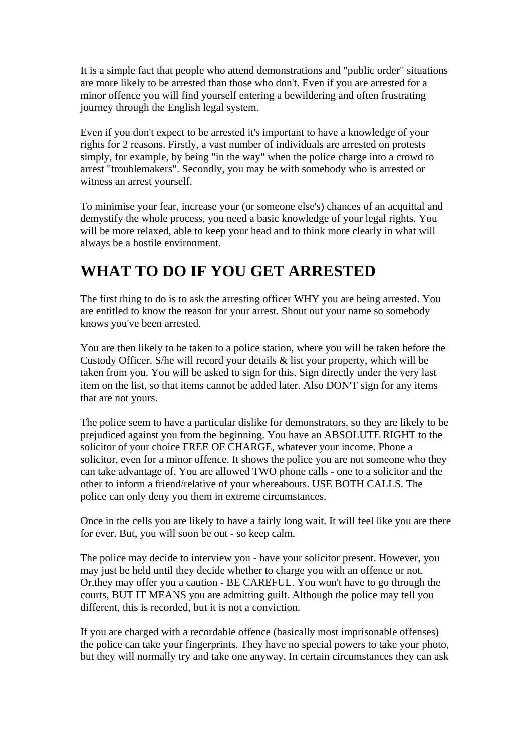It is a simple fact that people who attend demonstrations and "public order" situations are more likely to be arrested than those who don't. Even if you are arrested for a minor offence you will find yourself entering a bewildering and often frustrating journey through the English legal system.

Even if you don't expect to be arrested it's important to have a knowledge of your rights for 2 reasons. Firstly, a vast number of individuals are arrested on protests simply, for example, by being "in the way" when the police charge into a crowd to arrest "troublemakers". Secondly, you may be with somebody who is arrested or witness an arrest yourself.

To minimise your fear, increase your (or someone else's) chances of an acquittal and demystify the whole process, you need a basic knowledge of your legal rights. You will be more relaxed, able to keep your head and to think more clearly in what will always be a hostile environment.

#### **WHAT TO DO IF YOU GET ARRESTED**

The first thing to do is to ask the arresting officer WHY you are being arrested. You are entitled to know the reason for your arrest. Shout out your name so somebody knows you've been arrested.

You are then likely to be taken to a police station, where you will be taken before the Custody Officer. S/he will record your details & list your property, which will be taken from you. You will be asked to sign for this. Sign directly under the very last item on the list, so that items cannot be added later. Also DON'T sign for any items that are not yours.

The police seem to have a particular dislike for demonstrators, so they are likely to be prejudiced against you from the beginning. You have an ABSOLUTE RIGHT to the solicitor of your choice FREE OF CHARGE, whatever your income. Phone a solicitor, even for a minor offence. It shows the police you are not someone who they can take advantage of. You are allowed TWO phone calls - one to a solicitor and the other to inform a friend/relative of your whereabouts. USE BOTH CALLS. The police can only deny you them in extreme circumstances.

Once in the cells you are likely to have a fairly long wait. It will feel like you are there for ever. But, you will soon be out - so keep calm.

The police may decide to interview you - have your solicitor present. However, you may just be held until they decide whether to charge you with an offence or not. Or,they may offer you a caution - BE CAREFUL. You won't have to go through the courts, BUT IT MEANS you are admitting guilt. Although the police may tell you different, this is recorded, but it is not a conviction.

If you are charged with a recordable offence (basically most imprisonable offenses) the police can take your fingerprints. They have no special powers to take your photo, but they will normally try and take one anyway. In certain circumstances they can ask